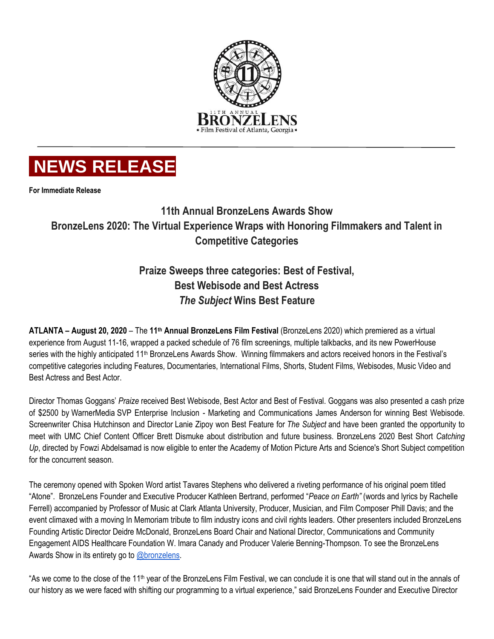

# **NEWS RELEASE**

**For Immediate Release**

# **11th Annual BronzeLens Awards Show BronzeLens 2020: The Virtual Experience Wraps with Honoring Filmmakers and Talent in Competitive Categories**

# **Praize Sweeps three categories: Best of Festival, Best Webisode and Best Actress** *The Subject* **Wins Best Feature**

**ATLANTA – August 20, 2020** – The **11th Annual BronzeLens Film Festival** (BronzeLens 2020) which premiered as a virtual experience from August 11-16, wrapped a packed schedule of 76 film screenings, multiple talkbacks, and its new PowerHouse series with the highly anticipated 11<sup>th</sup> BronzeLens Awards Show. Winning filmmakers and actors received honors in the Festival's competitive categories including Features, Documentaries, International Films, Shorts, Student Films, Webisodes, Music Video and Best Actress and Best Actor.

Director Thomas Goggans' *Praize* received Best Webisode, Best Actor and Best of Festival. Goggans was also presented a cash prize of \$2500 by WarnerMedia SVP Enterprise Inclusion - Marketing and Communications James Anderson for winning Best Webisode. Screenwriter Chisa Hutchinson and Director Lanie Zipoy won Best Feature for *The Subject* and have been granted the opportunity to meet with UMC Chief Content Officer Brett Dismuke about distribution and future business. BronzeLens 2020 Best Short *Catching Up*, directed by Fowzi Abdelsamad is now eligible to enter the Academy of Motion Picture Arts and Science's Short Subject competition for the concurrent season.

The ceremony opened with Spoken Word artist Tavares Stephens who delivered a riveting performance of his original poem titled "Atone". BronzeLens Founder and Executive Producer Kathleen Bertrand, performed "*Peace on Earth"* (words and lyrics by Rachelle Ferrell) accompanied by Professor of Music at Clark Atlanta University, Producer, Musician, and Film Composer Phill Davis; and the event climaxed with a moving In Memoriam tribute to film industry icons and civil rights leaders. Other presenters included BronzeLens Founding Artistic Director Deidre McDonald, BronzeLens Board Chair and National Director, Communications and Community Engagement AIDS Healthcare Foundation W. Imara Canady and Producer Valerie Benning-Thompson. To see the BronzeLens Awards Show in its entirety go to [@bronzelens.](https://www.facebook.com/Bronzelens/videos/717708682141643)

"As we come to the close of the 11<sup>th</sup> year of the BronzeLens Film Festival, we can conclude it is one that will stand out in the annals of our history as we were faced with shifting our programming to a virtual experience," said BronzeLens Founder and Executive Director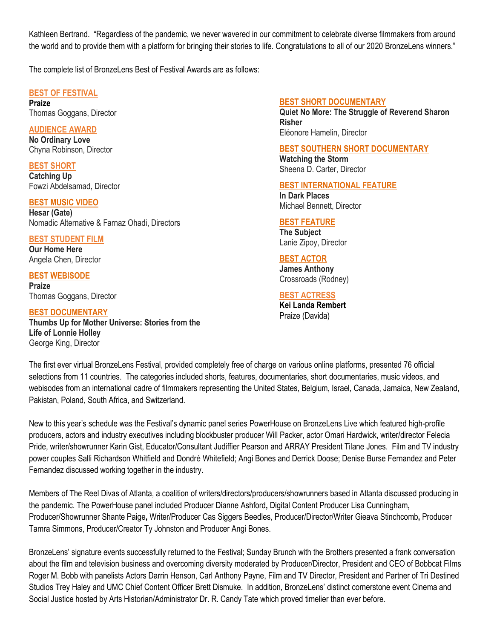Kathleen Bertrand. "Regardless of the pandemic, we never wavered in our commitment to celebrate diverse filmmakers from around the world and to provide them with a platform for bringing their stories to life. Congratulations to all of our 2020 BronzeLens winners."

The complete list of BronzeLens Best of Festival Awards are as follows:

# **BEST OF FESTIVAL**

**Praize** Thomas Goggans, Director

### **AUDIENCE AWARD**

**No Ordinary Love** Chyna Robinson, Director

**BEST SHORT Catching Up** Fowzi Abdelsamad, Director

# **BEST MUSIC VIDEO**

**Hesar (Gate)** Nomadic Alternative & Farnaz Ohadi, Directors

**BEST STUDENT FILM Our Home Here** Angela Chen, Director

**BEST WEBISODE Praize** Thomas Goggans, Director

# **BEST DOCUMENTARY**

**Thumbs Up for Mother Universe: Stories from the Life of Lonnie Holley** George King, Director

# **BEST SHORT DOCUMENTARY**

**Quiet No More: The Struggle of Reverend Sharon Risher** Eléonore Hamelin, Director

# **BEST SOUTHERN SHORT DOCUMENTARY**

**Watching the Storm** Sheena D. Carter, Director

# **BEST INTERNATIONAL FEATURE**

**In Dark Places** Michael Bennett, Director

### **BEST FEATURE**

**The Subject** Lanie Zipoy, Director

# **BEST ACTOR**

**James Anthony** Crossroads (Rodney)

## **BEST ACTRESS**

**Kei Landa Rembert** Praize (Davida)

The first ever virtual BronzeLens Festival, provided completely free of charge on various online platforms, presented 76 official selections from 11 countries. The categories included shorts, features, documentaries, short documentaries, music videos, and webisodes from an international cadre of filmmakers representing the United States, Belgium, Israel, Canada, Jamaica, New Zealand, Pakistan, Poland, South Africa, and Switzerland.

New to this year's schedule was the Festival's dynamic panel series PowerHouse on BronzeLens Live which featured high-profile producers, actors and industry executives including blockbuster producer Will Packer, actor Omari Hardwick, writer/director Felecia Pride, writer/showrunner Karin Gist, Educator/Consultant Judiffier Pearson and ARRAY President Tilane Jones. Film and TV industry power couples Salli Richardson Whitfield and Dondré Whitefield; Angi Bones and Derrick Doose; Denise Burse Fernandez and Peter Fernandez discussed working together in the industry.

Members of The Reel Divas of Atlanta, a coalition of writers/directors/producers/showrunners based in Atlanta discussed producing in the pandemic. The PowerHouse panel included Producer Dianne Ashford**,** Digital Content Producer Lisa Cunningham**,**  Producer/Showrunner Shante Paige**,** Writer/Producer Cas Siggers Beedles, Producer/Director/Writer Gieava Stinchcomb**,** Producer Tamra Simmons, Producer/Creator Ty Johnston and Producer Angi Bones.

BronzeLens' signature events successfully returned to the Festival; Sunday Brunch with the Brothers presented a frank conversation about the film and television business and overcoming diversity moderated by Producer/Director, President and CEO of Bobbcat Films Roger M. Bobb with panelists Actors Darrin Henson, Carl Anthony Payne, Film and TV Director, President and Partner of Tri Destined Studios Trey Haley and UMC Chief Content Officer Brett Dismuke. In addition, BronzeLens' distinct cornerstone event Cinema and Social Justice hosted by Arts Historian/Administrator Dr. R. Candy Tate which proved timelier than ever before.